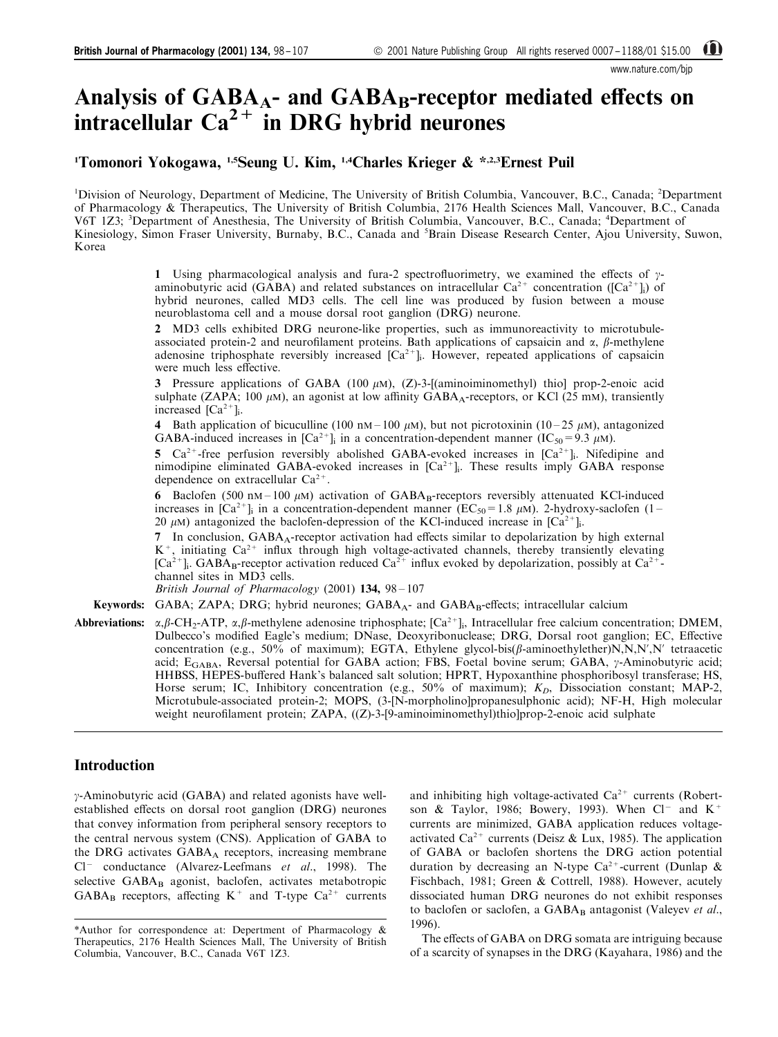www.nature.com/bjp

# Analysis of  $GABA_{A}$ - and  $GABA_{B}$ -receptor mediated effects on intracellular  $Ca^{2+}$  in DRG hybrid neurones

<sup>1</sup>Tomonori Yokogawa, <sup>1,5</sup>Seung U. Kim, <sup>1,4</sup>Charles Krieger & \*<sup>,2,3</sup>Ernest Puil

<sup>1</sup>Division of Neurology, Department of Medicine, The University of British Columbia, Vancouver, B.C., Canada; <sup>2</sup>Department of Pharmacology & Therapeutics, The University of British Columbia, 2176 Health Sciences Mall, Vancouver, B.C., Canada V6T 1Z3; <sup>3</sup>Department of Anesthesia, The University of British Columbia, Vancouver, B.C., Canada; <sup>4</sup>Department of Kinesiology, Simon Fraser University, Burnaby, B.C., Canada and <sup>5</sup>Brain Disease Research Center, Ajou University, Suwon, Korea

> 1 Using pharmacological analysis and fura-2 spectrofluorimetry, we examined the effects of  $\gamma$ aminobutyric acid (GABA) and related substances on intracellular  $Ca^{2+}$  concentration ( $[Ca^{2+}]_i$ ) of hybrid neurones, called MD3 cells. The cell line was produced by fusion between a mouse neuroblastoma cell and a mouse dorsal root ganglion (DRG) neurone.

> 2 MD3 cells exhibited DRG neurone-like properties, such as immunoreactivity to microtubuleassociated protein-2 and neurofilament proteins. Bath applications of capsaicin and  $\alpha$ ,  $\beta$ -methylene adenosine triphosphate reversibly increased  $[Ca^{2+}]$ . However, repeated applications of capsaicin were much less effective.

> 3 Pressure applications of GABA (100  $\mu$ M), (Z)-3-[(aminoiminomethyl) thio] prop-2-enoic acid sulphate (ZAPA; 100  $\mu$ M), an agonist at low affinity GABA<sub>A</sub>-receptors, or KCl (25 mM), transiently increased  $[Ca^{2+}]$ .

> 4 Bath application of bicuculline (100 nM – 100  $\mu$ M), but not picrotoxinin (10 – 25  $\mu$ M), antagonized GABA-induced increases in  $\left[Ca^{2+}\right]$  in a concentration-dependent manner  $\left(IC_{50}=9.3 \mu\text{m}\right)$ .

> 5  $Ca^{2+}$ -free perfusion reversibly abolished GABA-evoked increases in  $Ca^{2+}$ ]. Nifedipine and nimodipine eliminated GABA-evoked increases in  $[Ca^{2+}]_i$ . These results imply GABA response dependence on extracellular  $Ca^{2+}$ .

> 6 Baclofen (500 nM  $-100 \mu$ M) activation of GABA<sub>B</sub>-receptors reversibly attenuated KCl-induced increases in  $[Ca^{2+}]$  in a concentration-dependent manner (EC<sub>50</sub>=1.8  $\mu$ M). 2-hydroxy-saclofen (1 – 20  $\mu$ M) antagonized the baclofen-depression of the KCl-induced increase in  $[Ca^{2+}]_i$ .

> 7 In conclusion, GABA<sub>A</sub>-receptor activation had effects similar to depolarization by high external  $K^+$ , initiating  $Ca^{2+}$  influx through high voltage-activated channels, thereby transiently elevating  $[Ca^{2+}]$ . GABA<sub>B</sub>-receptor activation reduced  $Ca^{2+}$  influx evoked by depolarization, possibly at  $Ca^{2+}$ channel sites in MD3 cells.

British Journal of Pharmacology  $(2001)$  134, 98 - 107

**Keywords:** GABA; ZAPA; DRG; hybrid neurones;  $GABA_A$ - and  $GABA_B$ -effects; intracellular calcium

Abbreviations:  $\alpha, \beta$ -CH<sub>2</sub>-ATP,  $\alpha, \beta$ -methylene adenosine triphosphate;  $[Ca^{2+}]_i$ , Intracellular free calcium concentration; DMEM, Dulbecco's modified Eagle's medium; DNase, Deoxyribonuclease; DRG, Dorsal root ganglion; EC, Effective concentration (e.g., 50% of maximum); EGTA, Ethylene glycol-bis( $\beta$ -aminoethylether)N,N,N',N' tetraacetic acid; E<sub>GABA</sub>, Reversal potential for GABA action; FBS, Foetal bovine serum; GABA, y-Aminobutyric acid; HHBSS, HEPES-buffered Hank's balanced salt solution; HPRT, Hypoxanthine phosphoribosyl transferase; HS, Horse serum; IC, Inhibitory concentration (e.g.,  $50\%$  of maximum);  $K_D$ , Dissociation constant; MAP-2, Microtubule-associated protein-2; MOPS, (3-[N-morpholino]propanesulphonic acid); NF-H, High molecular weight neurofilament protein; ZAPA, ((Z)-3-[9-aminoiminomethyl)thio]prop-2-enoic acid sulphate

# Introduction

g-Aminobutyric acid (GABA) and related agonists have wellestablished effects on dorsal root ganglion (DRG) neurones that convey information from peripheral sensory receptors to the central nervous system (CNS). Application of GABA to the DRG activates  $GABA_A$  receptors, increasing membrane  $Cl^-$  conductance ([Alvarez-Leefmans](#page-8-0) [et al](#page-8-0)[., 1998\)](#page-8-0). The selective GABA<sub>B</sub> agonist, baclofen, activates metabotropic  $GABA_B$  receptors, affecting  $K^+$  and T-type  $Ca^{2+}$  currents

and inhibiting high voltage-activated  $Ca^{2+}$  currents ([Robert](#page-8-0)[son & Taylor, 1986](#page-8-0); [Bowery, 1993](#page-8-0)). When  $Cl^-$  and  $K^+$ currents are minimized, GABA application reduces voltage-activated Ca<sup>2+</sup> currents ([Deisz & Lux, 1985\)](#page-8-0). The application of GABA or baclofen shortens the DRG action potential duration by decreasing an N-type Ca<sup>2+</sup>-current [\(Dunlap &](#page-8-0) [Fischbach, 1981](#page-8-0); [Green & Cottrell, 1988\)](#page-8-0). However, acutely dissociated human DRG neurones do not exhibit responses to baclofen or saclofen, a  $GABA_B$  antagonist ([Valeyev](#page-9-0) [et al](#page-9-0)[.,](#page-9-0) [1996\)](#page-9-0).

The effects of GABA on DRG somata are intriguing because of a scarcity of synapses in the DRG (Kayahara, 1986) and the

<sup>\*</sup>Author for correspondence at: Depertment of Pharmacology & Therapeutics, 2176 Health Sciences Mall, The University of British Columbia, Vancouver, B.C., Canada V6T 1Z3.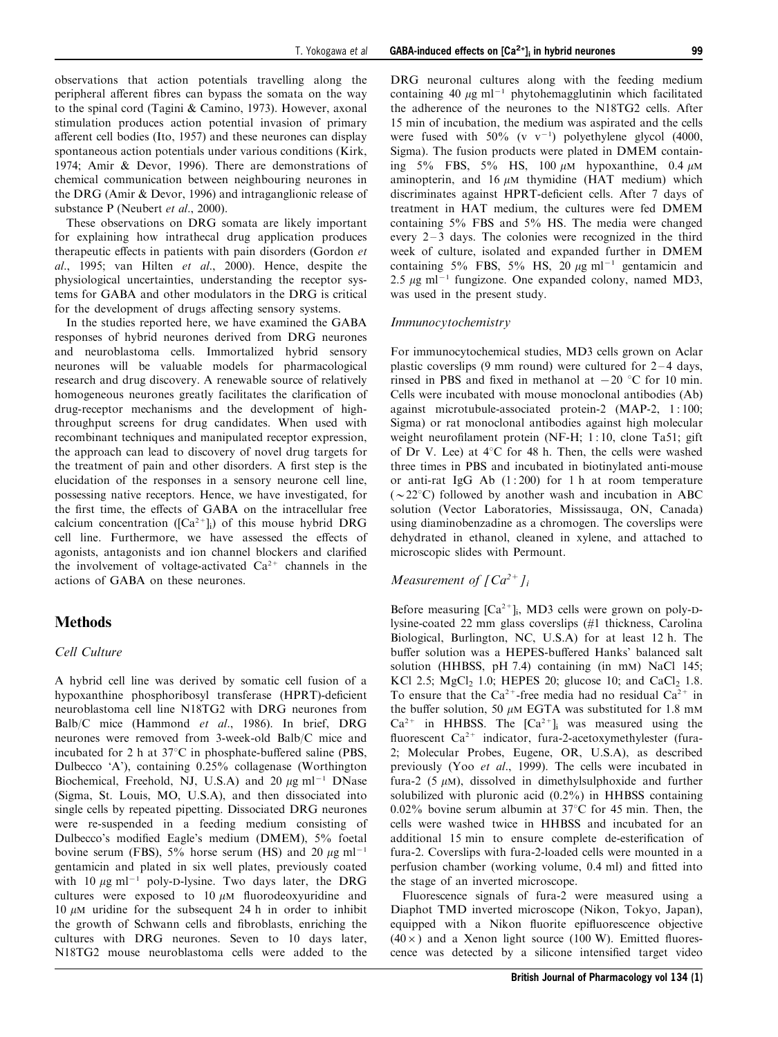observations that action potentials travelling along the peripheral afferent fibres can bypass the somata on the way to the spinal cord ([Tagini & Camino, 1973](#page-9-0)). However, axonal stimulation produces action potential invasion of primary afferent cell bodies [\(Ito, 1957\)](#page-8-0) and these neurones can display spontaneous action potentials under various conditions [\(Kirk,](#page-8-0) [1974; Amir & Devor, 1996\)](#page-8-0). There are demonstrations of chemical communication between neighbouring neurones in the DRG [\(Amir & Devor, 1996](#page-8-0)) and intraganglionic release of substance P ([Neubert](#page-8-0) [et al](#page-8-0)[., 2000\)](#page-8-0).

These observations on DRG somata are likely important for explaining how intrathecal drug application produces therapeutic effects in patients with pain disorders [\(Gordon](#page-8-0)  $et$ [al](#page-8-0)[., 1995](#page-8-0); [van Hilten](#page-9-0) [et al](#page-9-0)[., 2000\)](#page-9-0). Hence, despite the physiological uncertainties, understanding the receptor systems for GABA and other modulators in the DRG is critical for the development of drugs affecting sensory systems.

In the studies reported here, we have examined the GABA responses of hybrid neurones derived from DRG neurones and neuroblastoma cells. Immortalized hybrid sensory neurones will be valuable models for pharmacological research and drug discovery. A renewable source of relatively homogeneous neurones greatly facilitates the clarification of drug-receptor mechanisms and the development of highthroughput screens for drug candidates. When used with recombinant techniques and manipulated receptor expression, the approach can lead to discovery of novel drug targets for the treatment of pain and other disorders. A first step is the elucidation of the responses in a sensory neurone cell line, possessing native receptors. Hence, we have investigated, for the first time, the effects of GABA on the intracellular free calcium concentration ( $[Ca^{2+}]_i$ ) of this mouse hybrid DRG cell line. Furthermore, we have assessed the effects of agonists, antagonists and ion channel blockers and clarified the involvement of voltage-activated  $Ca^{2+}$  channels in the actions of GABA on these neurones.

# **Methods**

#### Cell Culture

A hybrid cell line was derived by somatic cell fusion of a hypoxanthine phosphoribosyl transferase (HPRT)-deficient neuroblastoma cell line N18TG2 with DRG neurones from Balb/C mice [\(Hammond](#page-8-0) [et al](#page-8-0)[., 1986\)](#page-8-0). In brief, DRG neurones were removed from 3-week-old Balb/C mice and incubated for 2 h at  $37^{\circ}$ C in phosphate-buffered saline (PBS, Dulbecco `A'), containing 0.25% collagenase (Worthington Biochemical, Freehold, NJ, U.S.A) and 20  $\mu$ g ml<sup>-1</sup> DNase (Sigma, St. Louis, MO, U.S.A), and then dissociated into single cells by repeated pipetting. Dissociated DRG neurones were re-suspended in a feeding medium consisting of Dulbecco's modified Eagle's medium (DMEM), 5% foetal bovine serum (FBS),  $5\%$  horse serum (HS) and 20  $\mu$ g ml<sup>-1</sup> gentamicin and plated in six well plates, previously coated with 10  $\mu$ g ml<sup>-1</sup> poly-D-lysine. Two days later, the DRG cultures were exposed to  $10 \mu M$  fluorodeoxyuridine and 10  $\mu$ M uridine for the subsequent 24 h in order to inhibit the growth of Schwann cells and fibroblasts, enriching the cultures with DRG neurones. Seven to 10 days later, N18TG2 mouse neuroblastoma cells were added to the

DRG neuronal cultures along with the feeding medium containing 40  $\mu$ g ml<sup>-1</sup> phytohemagglutinin which facilitated the adherence of the neurones to the N18TG2 cells. After 15 min of incubation, the medium was aspirated and the cells were fused with  $50\%$  (v v<sup>-1</sup>) polyethylene glycol (4000, Sigma). The fusion products were plated in DMEM containing  $5\%$  FBS,  $5\%$  HS, 100  $\mu$ M hypoxanthine, 0.4  $\mu$ M aminopterin, and 16  $\mu$ M thymidine (HAT medium) which discriminates against HPRT-deficient cells. After 7 days of treatment in HAT medium, the cultures were fed DMEM containing 5% FBS and 5% HS. The media were changed every  $2-3$  days. The colonies were recognized in the third week of culture, isolated and expanded further in DMEM containing  $5\%$  FBS,  $5\%$  HS,  $20 \mu g$  ml<sup>-1</sup> gentamicin and 2.5  $\mu$ g ml<sup>-1</sup> fungizone. One expanded colony, named MD3, was used in the present study.

#### Immunocytochemistry

For immunocytochemical studies, MD3 cells grown on Aclar plastic coverslips (9 mm round) were cultured for  $2-4$  days, rinsed in PBS and fixed in methanol at  $-20$  °C for 10 min. Cells were incubated with mouse monoclonal antibodies (Ab) against microtubule-associated protein-2 (MAP-2, 1:100; Sigma) or rat monoclonal antibodies against high molecular weight neurofilament protein (NF-H; 1:10, clone Ta51; gift of Dr V. Lee) at  $4^{\circ}$ C for 48 h. Then, the cells were washed three times in PBS and incubated in biotinylated anti-mouse or anti-rat IgG Ab  $(1:200)$  for 1 h at room temperature  $({\sim}22^{\circ}C)$  followed by another wash and incubation in ABC solution (Vector Laboratories, Mississauga, ON, Canada) using diaminobenzadine as a chromogen. The coverslips were dehydrated in ethanol, cleaned in xylene, and attached to microscopic slides with Permount.

# Measurement of  $\int Ca^{2+}l_i$

Before measuring  $[Ca^{2+}]_i$ , MD3 cells were grown on poly-Dlysine-coated 22 mm glass coverslips (#1 thickness, Carolina Biological, Burlington, NC, U.S.A) for at least 12 h. The buffer solution was a HEPES-buffered Hanks' balanced salt solution (HHBSS, pH 7.4) containing (in mM) NaCl 145; KCl 2.5;  $MgCl<sub>2</sub>$  1.0; HEPES 20; glucose 10; and CaCl<sub>2</sub> 1.8. To ensure that the  $Ca^{2+}$ -free media had no residual  $Ca^{2+}$  in the buffer solution, 50  $\mu$ M EGTA was substituted for 1.8 mM  $Ca^{2+}$  in HHBSS. The  $[Ca^{2+}]$  was measured using the fluorescent  $Ca^{2+}$  indicator, fura-2-acetoxymethylester (fura-2; Molecular Probes, Eugene, OR, U.S.A), as described previously [\(Yoo](#page-9-0) [et al](#page-9-0)[., 1999](#page-9-0)). The cells were incubated in fura-2 (5  $\mu$ M), dissolved in dimethylsulphoxide and further solubilized with pluronic acid (0.2%) in HHBSS containing 0.02% bovine serum albumin at  $37^{\circ}$ C for 45 min. Then, the cells were washed twice in HHBSS and incubated for an additional 15 min to ensure complete de-esterification of fura-2. Coverslips with fura-2-loaded cells were mounted in a perfusion chamber (working volume, 0.4 ml) and fitted into the stage of an inverted microscope.

Fluorescence signals of fura-2 were measured using a Diaphot TMD inverted microscope (Nikon, Tokyo, Japan), equipped with a Nikon fluorite epifluorescence objective  $(40 \times)$  and a Xenon light source (100 W). Emitted fluorescence was detected by a silicone intensified target video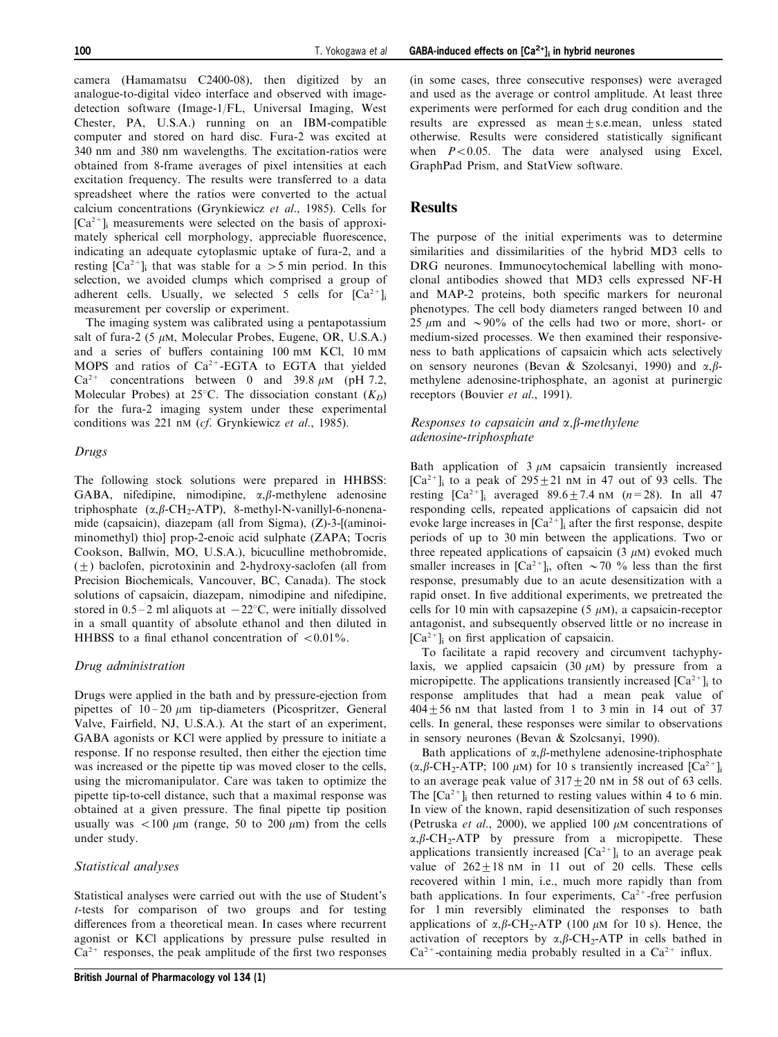camera (Hamamatsu C2400-08), then digitized by an analogue-to-digital video interface and observed with imagedetection software (Image-1/FL, Universal Imaging, West Chester, PA, U.S.A.) running on an IBM-compatible computer and stored on hard disc. Fura-2 was excited at 340 nm and 380 nm wavelengths. The excitation-ratios were obtained from 8-frame averages of pixel intensities at each excitation frequency. The results were transferred to a data spreadsheet where the ratios were converted to the actual calcium concentrations [\(Grynkiewicz](#page-8-0) [et al](#page-8-0)[., 1985\)](#page-8-0). Cells for  $[Ca^{2+}]$  measurements were selected on the basis of approximately spherical cell morphology, appreciable fluorescence, indicating an adequate cytoplasmic uptake of fura-2, and a resting  $[Ca^{2+}]$ ; that was stable for a  $>5$  min period. In this selection, we avoided clumps which comprised a group of adherent cells. Usually, we selected 5 cells for  $[Ca^{2+}]$ <sub>i</sub> measurement per coverslip or experiment.

The imaging system was calibrated using a pentapotassium salt of fura-2 (5  $\mu$ M, Molecular Probes, Eugene, OR, U.S.A.) and a series of buffers containing 100 mM KCl, 10 mM MOPS and ratios of  $Ca^{2+}$ -EGTA to EGTA that yielded  $Ca^{2+}$  concentrations between 0 and 39.8  $\mu$ M (pH 7.2, Molecular Probes) at 25°C. The dissociation constant  $(K_D)$ for the fura-2 imaging system under these experimental conditions was 221 nM (cf. [Grynkiewicz](#page-8-0) [et al](#page-8-0)[., 1985\)](#page-8-0).

#### Drugs

The following stock solutions were prepared in HHBSS: GABA, nifedipine, nimodipine,  $\alpha$ , $\beta$ -methylene adenosine triphosphate  $(\alpha, \beta$ -CH<sub>2</sub>-ATP), 8-methyl-N-vanillyl-6-nonenamide (capsaicin), diazepam (all from Sigma), (Z)-3-[(aminoiminomethyl) thio] prop-2-enoic acid sulphate (ZAPA; Tocris Cookson, Ballwin, MO, U.S.A.), bicuculline methobromide,  $(+)$  baclofen, picrotoxinin and 2-hydroxy-saclofen (all from Precision Biochemicals, Vancouver, BC, Canada). The stock solutions of capsaicin, diazepam, nimodipine and nifedipine, stored in  $0.5-2$  ml aliquots at  $-22^{\circ}$ C, were initially dissolved in a small quantity of absolute ethanol and then diluted in HHBSS to a final ethanol concentration of  $< 0.01\%$ .

## Drug administration

Drugs were applied in the bath and by pressure-ejection from pipettes of  $10-20 \mu m$  tip-diameters (Picospritzer, General Valve, Fairfield, NJ, U.S.A.). At the start of an experiment, GABA agonists or KCl were applied by pressure to initiate a response. If no response resulted, then either the ejection time was increased or the pipette tip was moved closer to the cells, using the micromanipulator. Care was taken to optimize the pipette tip-to-cell distance, such that a maximal response was obtained at a given pressure. The final pipette tip position usually was  $< 100 \mu m$  (range, 50 to 200  $\mu m$ ) from the cells under study.

# Statistical analyses

Statistical analyses were carried out with the use of Student's t-tests for comparison of two groups and for testing differences from a theoretical mean. In cases where recurrent agonist or KCl applications by pressure pulse resulted in  $Ca^{2+}$  responses, the peak amplitude of the first two responses

(in some cases, three consecutive responses) were averaged and used as the average or control amplitude. At least three experiments were performed for each drug condition and the results are expressed as mean $+$ s.e.mean, unless stated otherwise. Results were considered statistically significant when  $P<0.05$ . The data were analysed using Excel, GraphPad Prism, and StatView software.

# Results

The purpose of the initial experiments was to determine similarities and dissimilarities of the hybrid MD3 cells to DRG neurones. Immunocytochemical labelling with monoclonal antibodies showed that MD3 cells expressed NF-H and MAP-2 proteins, both specific markers for neuronal phenotypes. The cell body diameters ranged between 10 and 25  $\mu$ m and  $\sim$ 90% of the cells had two or more, short- or medium-sized processes. We then examined their responsiveness to bath applications of capsaicin which acts selectively on sensory neurones ([Bevan & Szolcsanyi, 1990\)](#page-8-0) and  $\alpha$ ,  $\beta$ methylene adenosine-triphosphate, an agonist at purinergic receptors [\(Bouvier](#page-8-0) [et al](#page-8-0)[., 1991\)](#page-8-0).

# Responses to capsaicin and  $\alpha$ ,  $\beta$ -methylene adenosine-triphosphate

Bath application of  $3 \mu$ M capsaicin transiently increased  $[Ca^{2+}]$ ; to a peak of  $295+21$  nM in 47 out of 93 cells. The resting  $[Ca^{2+}]$ ; averaged  $89.6 + 7.4$  nM  $(n=28)$ . In all 47 responding cells, repeated applications of capsaicin did not evoke large increases in  $[Ca^{2+}]$  after the first response, despite periods of up to 30 min between the applications. Two or three repeated applications of capsaicin  $(3 \mu M)$  evoked much smaller increases in  $[Ca^{2+}]$ ; often  $\sim$  70 % less than the first response, presumably due to an acute desensitization with a rapid onset. In five additional experiments, we pretreated the cells for 10 min with capsazepine (5  $\mu$ M), a capsaicin-receptor antagonist, and subsequently observed little or no increase in  $[Ca^{2+}]$ <sub>i</sub> on first application of capsaicin.

To facilitate a rapid recovery and circumvent tachyphylaxis, we applied capsaicin  $(30 \mu M)$  by pressure from a micropipette. The applications transiently increased  $[Ca^{2+}]$ ; to response amplitudes that had a mean peak value of  $404 \pm 56$  nM that lasted from 1 to 3 min in 14 out of 37 cells. In general, these responses were similar to observations in sensory neurones [\(Bevan & Szolcsanyi, 1990\)](#page-8-0).

Bath applications of  $\alpha$ ,  $\beta$ -methylene adenosine-triphosphate  $(\alpha, \beta$ -CH<sub>2</sub>-ATP; 100  $\mu$ M) for 10 s transiently increased [Ca<sup>2+</sup>]<sub>i</sub> to an average peak value of  $317 + 20$  nM in 58 out of 63 cells. The  $[Ca^{2+}]$ <sub>i</sub> then returned to resting values within 4 to 6 min. In view of the known, rapid desensitization of such responses ([Petruska](#page-8-0) [et al](#page-8-0)[., 2000](#page-8-0)), we applied 100  $\mu$ M concentrations of  $\alpha, \beta$ -CH<sub>2</sub>-ATP by pressure from a micropipette. These applications transiently increased  $[Ca^{2+}]$ <sub>i</sub> to an average peak value of  $262+18$  nM in 11 out of 20 cells. These cells recovered within 1 min, i.e., much more rapidly than from bath applications. In four experiments,  $Ca^{2+}$ -free perfusion for 1 min reversibly eliminated the responses to bath applications of  $\alpha$ ,  $\beta$ -CH<sub>2</sub>-ATP (100  $\mu$ M for 10 s). Hence, the activation of receptors by  $\alpha$ ,  $\beta$ -CH<sub>2</sub>-ATP in cells bathed in  $Ca^{2+}$ -containing media probably resulted in a  $Ca^{2+}$  influx.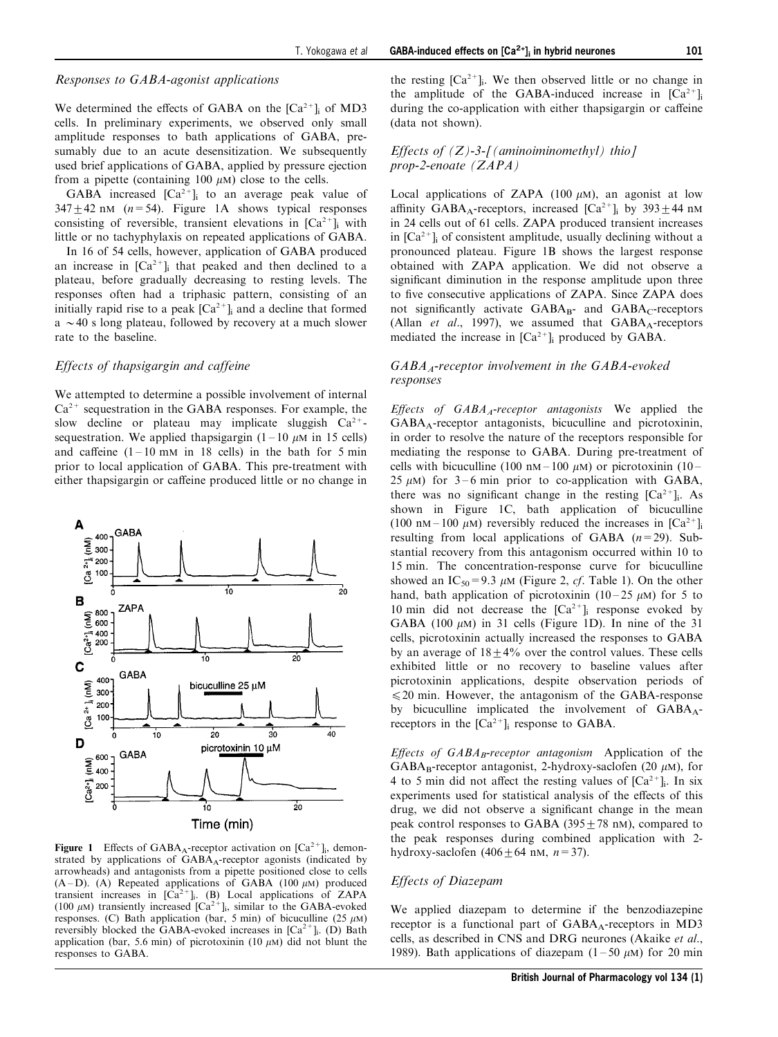#### Responses to GABA-agonist applications

We determined the effects of GABA on the  $[Ca^{2+}]_i$  of MD3 cells. In preliminary experiments, we observed only small amplitude responses to bath applications of GABA, presumably due to an acute desensitization. We subsequently used brief applications of GABA, applied by pressure ejection from a pipette (containing 100  $\mu$ M) close to the cells.

GABA increased  $[Ca^{2+}]_i$  to an average peak value of  $347 + 42$  nM ( $n = 54$ ). Figure 1A shows typical responses consisting of reversible, transient elevations in  $[Ca^{2+}]$ ; with little or no tachyphylaxis on repeated applications of GABA.

In 16 of 54 cells, however, application of GABA produced an increase in  $[Ca^{2+}]$ ; that peaked and then declined to a plateau, before gradually decreasing to resting levels. The responses often had a triphasic pattern, consisting of an initially rapid rise to a peak  $[Ca^{2+}]_i$  and a decline that formed  $a \sim 40$  s long plateau, followed by recovery at a much slower rate to the baseline.

#### Effects of thapsigargin and caffeine

We attempted to determine a possible involvement of internal  $Ca<sup>2+</sup>$  sequestration in the GABA responses. For example, the slow decline or plateau may implicate sluggish  $Ca^{2+}$ sequestration. We applied thapsigargin  $(1 - 10 \mu M)$  in 15 cells) and caffeine  $(1 - 10 \text{ mM in } 18 \text{ cells})$  in the bath for 5 min prior to local application of GABA. This pre-treatment with either thapsigargin or caffeine produced little or no change in



**Figure 1** Effects of GABA<sub>A</sub>-receptor activation on  $[Ca^{2+}]_i$ , demonstrated by applications of  $GABA_A$ -receptor agonists (indicated by arrowheads) and antagonists from a pipette positioned close to cells (A-D). (A) Repeated applications of GABA (100  $\mu$ M) produced transient increases in  $[\hat{Ca}^{2+}]$ ; (B) Local applications of ZAPA (100  $\mu$ M) transiently increased [Ca<sup>2+</sup>]<sub>i</sub>, similar to the GABA-evoked responses. (C) Bath application (bar, 5 min) of bicuculline (25  $\mu$ M) reversibly blocked the GABA-evoked increases in  $[Ca^{2+}]$ . (D) Bath application (bar, 5.6 min) of picrotoxinin (10  $\mu$ M) did not blunt the responses to GABA.

the resting  $[Ca^{2+}]$ . We then observed little or no change in the amplitude of the GABA-induced increase in  $[Ca^{2+}]_i$ during the co-application with either thapsigargin or caffeine (data not shown).

#### Effects of  $(Z)$ -3- $\int$  (aminoiminomethyl) thio  $\int$ prop-2-enoate (ZAPA)

Local applications of ZAPA  $(100 \mu M)$ , an agonist at low affinity GABA<sub>A</sub>-receptors, increased  $[Ca^{2+}]$ <sub>i</sub> by 393 $\pm$ 44 nM in 24 cells out of 61 cells. ZAPA produced transient increases in  $[Ca^{2+}]$  of consistent amplitude, usually declining without a pronounced plateau. Figure 1B shows the largest response obtained with ZAPA application. We did not observe a significant diminution in the response amplitude upon three to five consecutive applications of ZAPA. Since ZAPA does not significantly activate  $GABA_{B}$ - and  $GABA_{C}$ -receptors ([Allan](#page-8-0) [et al](#page-8-0)[., 1997\)](#page-8-0), we assumed that  $GABA_A$ -receptors mediated the increase in  $[Ca^{2+}]_i$  produced by GABA.

# $GABA<sub>A</sub>$ -receptor involvement in the  $GABA$ -evoked responses

Effects of  $GABA<sub>A</sub>$ -receptor antagonists We applied the GABAA-receptor antagonists, bicuculline and picrotoxinin, in order to resolve the nature of the receptors responsible for mediating the response to GABA. During pre-treatment of cells with bicuculline (100 nM – 100  $\mu$ M) or picrotoxinin (10 – 25  $\mu$ M) for 3–6 min prior to co-application with GABA, there was no significant change in the resting  $[Ca^{2+}]_i$ . As shown in Figure 1C, bath application of bicuculline (100 nM – 100  $\mu$ M) reversibly reduced the increases in [Ca<sup>2+</sup>]<sub>i</sub> resulting from local applications of GABA  $(n=29)$ . Substantial recovery from this antagonism occurred within 10 to 15 min. The concentration-response curve for bicuculline showed an IC<sub>50</sub>=9.3  $\mu$ M ([Figure 2](#page-4-0), *cf*. [Table 1\)](#page-4-0). On the other hand, bath application of picrotoxinin (10-25  $\mu$ M) for 5 to 10 min did not decrease the  $[Ca^{2+}]_i$  response evoked by GABA (100  $\mu$ M) in 31 cells (Figure 1D). In nine of the 31 cells, picrotoxinin actually increased the responses to GABA by an average of  $18+4\%$  over the control values. These cells exhibited little or no recovery to baseline values after picrotoxinin applications, despite observation periods of  $\leq$  20 min. However, the antagonism of the GABA-response by bicuculline implicated the involvement of  $GABA_A$ receptors in the  $[Ca^{2+}]$ <sub>i</sub> response to GABA.

Effects of  $GABA_B$ -receptor antagonism Application of the GABA<sub>B</sub>-receptor antagonist, 2-hydroxy-saclofen (20  $\mu$ M), for 4 to 5 min did not affect the resting values of  $[Ca^{2+}]_i$ . In six experiments used for statistical analysis of the effects of this drug, we did not observe a significant change in the mean peak control responses to GABA (395 $\pm$ 78 nM), compared to the peak responses during combined application with 2 hydroxy-saclofen  $(406 \pm 64 \text{ nm}, n=37)$ .

#### Effects of Diazepam

We applied diazepam to determine if the benzodiazepine receptor is a functional part of  $GABA_A$ -receptors in MD3 cells, as described in CNS and DRG neurones ([Akaike](#page-8-0) [et al](#page-8-0)[.,](#page-8-0) [1989\)](#page-8-0). Bath applications of diazepam  $(1 - 50 \mu M)$  for 20 min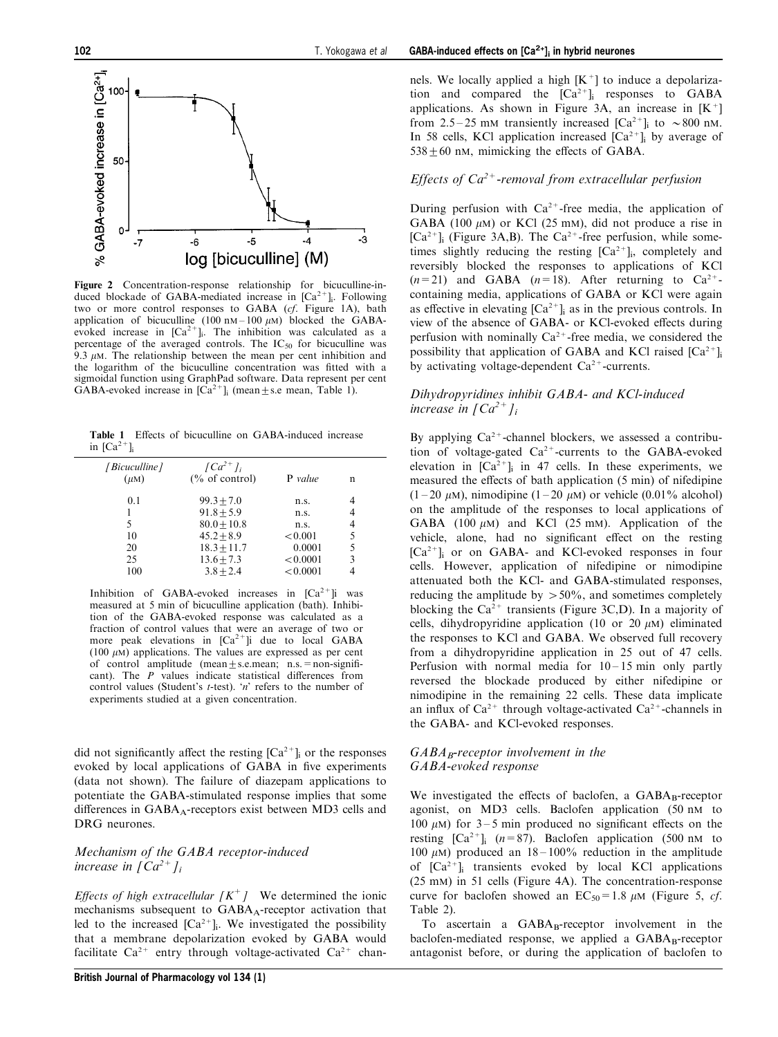<span id="page-4-0"></span>

Figure 2 Concentration-response relationship for bicuculline-induced blockade of GABA-mediated increase in  $[Ca^{2+}]$ . Following two or more control responses to GABA (cf. Figure 1A), bath application of bicuculline (100 nM = 100  $\mu$ M) blocked the GABAevoked increase in  $[Ca^{2+}]_i$ . The inhibition was calculated as a percentage of the averaged controls. The  $IC_{50}$  for bicuculline was 9.3  $\mu$ M. The relationship between the mean per cent inhibition and the logarithm of the bicuculline concentration was fitted with a sigmoidal function using GraphPad software. Data represent per cent GABA-evoked increase in  $[\text{Ca}^{2+}]$ ; (mean + s.e mean, Table 1).

Table 1 Effects of bicuculline on GABA-induced increase in  $[Ca^{2+}]$ 

| [Bicuculline]<br>$(\mu M)$        | $\int Ca^{2+}l_i$<br>$\frac{6}{6}$ of control)                                                                | <b>P</b> value                                                    | n                               |
|-----------------------------------|---------------------------------------------------------------------------------------------------------------|-------------------------------------------------------------------|---------------------------------|
| 0.1<br>5<br>10<br>20<br>25<br>100 | $99.3 + 7.0$<br>$91.8 + 5.9$<br>$80.0 + 10.8$<br>$45.2 + 8.9$<br>$18.3 + 11.7$<br>$13.6 + 7.3$<br>$3.8 + 2.4$ | n.s.<br>n.s.<br>n.s.<br>< 0.001<br>0.0001<br>< 0.0001<br>< 0.0001 | 4<br>4<br>4<br>5<br>5<br>3<br>4 |

Inhibition of GABA-evoked increases in  $[Ca^{2+}]i$  was measured at 5 min of bicuculline application (bath). Inhibition of the GABA-evoked response was calculated as a fraction of control values that were an average of two or more peak elevations in  $[Ca^{2+}]i$  due to local GABA (100  $\mu$ M) applications. The values are expressed as per cent of control amplitude (mean $+$ s.e.mean; n.s. = non-significant). The  $\overline{P}$  values indicate statistical differences from control values (Student's *t*-test). '*n*' refers to the number of experiments studied at a given concentration.

did not significantly affect the resting  $[Ca^{2+}]$  or the responses evoked by local applications of GABA in five experiments (data not shown). The failure of diazepam applications to potentiate the GABA-stimulated response implies that some differences in GABA<sub>A</sub>-receptors exist between MD3 cells and DRG neurones.

# Mechanism of the GABA receptor-induced increase in  $\int Ca^{2+}l_i$

Effects of high extracellular  $[K^+]$  We determined the ionic mechanisms subsequent to GABA<sub>A</sub>-receptor activation that led to the increased  $[Ca^{2+}]$ . We investigated the possibility that a membrane depolarization evoked by GABA would facilitate  $Ca^{2+}$  entry through voltage-activated  $Ca^{2+}$  chan-

# Effects of  $Ca^{2+}$ -removal from extracellular perfusion

During perfusion with  $Ca^{2+}$ -free media, the application of GABA (100  $\mu$ M) or KCl (25 mM), did not produce a rise in  $[Ca^{2+}]$ <sub>i</sub> (Figure 3A,B). The Ca<sup>2+</sup>-free perfusion, while sometimes slightly reducing the resting  $[Ca^{2+}]$ ; completely and reversibly blocked the responses to applications of KCl  $(n=21)$  and GABA  $(n=18)$ . After returning to  $Ca^{2+}$ containing media, applications of GABA or KCl were again as effective in elevating  $[Ca^{2+}]$  as in the previous controls. In view of the absence of GABA- or KCl-evoked effects during perfusion with nominally  $Ca^{2+}$ -free media, we considered the possibility that application of GABA and KCl raised  $[Ca^{2+}]$ <sub>i</sub> by activating voltage-dependent  $Ca^{2+}$ -currents.

# Dihydropyridines inhibit GABA- and KCl-induced increase in  $\int Ca^{2+}l_i$

By applying  $Ca^{2+}$ -channel blockers, we assessed a contribution of voltage-gated  $Ca^{2+}$ -currents to the GABA-evoked elevation in  $[Ca^{2+}]$ ; in 47 cells. In these experiments, we measured the effects of bath application (5 min) of nifedipine  $(1-20 \mu M)$ , nimodipine  $(1-20 \mu M)$  or vehicle  $(0.01\%$  alcohol) on the amplitude of the responses to local applications of GABA (100  $\mu$ M) and KCl (25 mM). Application of the vehicle, alone, had no significant effect on the resting  $[Ca^{2+}]$  or on GABA- and KCl-evoked responses in four cells. However, application of nifedipine or nimodipine attenuated both the KCl- and GABA-stimulated responses, reducing the amplitude by  $> 50\%$ , and sometimes completely blocking the  $Ca^{2+}$  transients (Figure 3C,D). In a majority of cells, dihydropyridine application (10 or 20  $\mu$ M) eliminated the responses to KCl and GABA. We observed full recovery from a dihydropyridine application in 25 out of 47 cells. Perfusion with normal media for  $10 - 15$  min only partly reversed the blockade produced by either nifedipine or nimodipine in the remaining 22 cells. These data implicate an influx of  $Ca^{2+}$  through voltage-activated  $Ca^{2+}$ -channels in the GABA- and KCl-evoked responses.

#### $GABA_B$ -receptor involvement in the GABA-evoked response

We investigated the effects of baclofen, a  $GABA_B$ -receptor agonist, on MD3 cells. Baclofen application (50 nM to 100  $\mu$ M) for 3–5 min produced no significant effects on the resting  $\begin{bmatrix} Ca^{2+} \end{bmatrix}$  ( $n=87$ ). Baclofen application (500 nM to 100  $\mu$ M) produced an 18 – 100% reduction in the amplitude of  $[Ca^{2+}]$ ; transients evoked by local KCl applications (25 mM) in 51 cells [\(Figure 4A](#page-5-0)). The concentration-response curve for baclofen showed an  $EC_{50} = 1.8 \mu M$  [\(Figure 5](#page-6-0), cf. [Table 2\)](#page-6-0).

To ascertain a  $GABA_B$ -receptor involvement in the baclofen-mediated response, we applied a  $GABA_B$ -receptor antagonist before, or during the application of baclofen to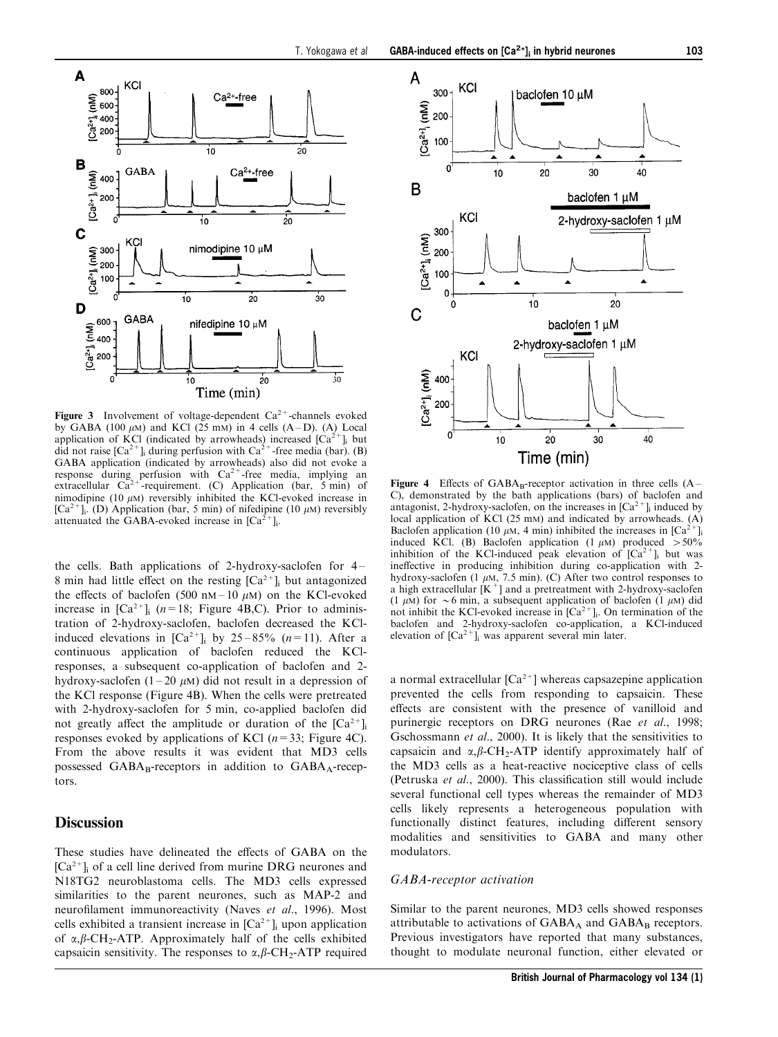<span id="page-5-0"></span>

**Figure 3** Involvement of voltage-dependent  $Ca^{2+}$ -channels evoked by GABA (100  $\mu$ M) and KCl (25 mM) in 4 cells (A-D). (A) Local application of KCl (indicated by arrowheads) increased  $[Ca^{2+}]$  but did not raise  $[Ca^{2+}]$ <sub>i</sub> during perfusion with  $Ca^{2+}$ -free media (bar). (B) GABA application (indicated by arrowheads) also did not evoke a response during perfusion with  $Ca^{2+}$ -free media, implying an extracellular  $Ca^{2+}$ -requirement. (C) Application (bar, 5 min) of nimodipine (10  $\mu$ M) reversibly inhibited the KCl-evoked increase in  $[Ca^{2+}]_i$ . (D) Application (bar, 5 min) of nifedipine (10  $\mu$ M) reversibly attenuated the GABA-evoked increase in  $[Ca^{2+}]_i$ .

the cells. Bath applications of 2-hydroxy-saclofen for  $4-$ 8 min had little effect on the resting  $[Ca^{2+}]_i$  but antagonized the effects of baclofen (500 nM - 10  $\mu$ M) on the KCl-evoked increase in  $[Ca^{2+}]_i$  (n=18; Figure 4B,C). Prior to administration of 2-hydroxy-saclofen, baclofen decreased the KClinduced elevations in  $[Ca^{2+}]_i$  by 25-85% (n=11). After a continuous application of baclofen reduced the KClresponses, a subsequent co-application of baclofen and 2 hydroxy-saclofen (1-20  $\mu$ M) did not result in a depression of the KCl response (Figure 4B). When the cells were pretreated with 2-hydroxy-saclofen for 5 min, co-applied baclofen did not greatly affect the amplitude or duration of the  $[Ca^{2+}]$ <sub>i</sub> responses evoked by applications of KCl  $(n=33;$  Figure 4C). From the above results it was evident that MD3 cells possessed  $GABA_B$ -receptors in addition to  $GABA_A$ -receptors.

# **Discussion**

These studies have delineated the effects of GABA on the  $[Ca<sup>2+</sup>]$  of a cell line derived from murine DRG neurones and N18TG2 neuroblastoma cells. The MD3 cells expressed similarities to the parent neurones, such as MAP-2 and neurofilament immunoreactivity [\(Naves](#page-8-0) [et al](#page-8-0)[., 1996](#page-8-0)). Most cells exhibited a transient increase in  $[Ca<sup>2+</sup>]$ <sub>i</sub> upon application of  $\alpha$ ,  $\beta$ -CH<sub>2</sub>-ATP. Approximately half of the cells exhibited capsaicin sensitivity. The responses to  $\alpha$ ,  $\beta$ -CH<sub>2</sub>-ATP required



Figure 4 Effects of  $GABA_B$ -receptor activation in three cells  $(A - B)$ C), demonstrated by the bath applications (bars) of baclofen and antagonist, 2-hydroxy-saclofen, on the increases in  $[Ca<sup>2+</sup>]$  induced by local application of KCl  $(25 \text{ mm})$  and indicated by arrowheads.  $(A)$ Baclofen application (10  $\mu$ M, 4 min) inhibited the increases in [Ca<sup>2+</sup>]<sub>i</sub> induced KCl. (B) Baclofen application (1  $\mu$ M) produced > 50% inhibition of the KCl-induced peak elevation of  $[Ca^{2+}]$ ; but was ineffective in producing inhibition during co-application with 2hydroxy-saclofen (1  $\mu$ M, 7.5 min). (C) After two control responses to a high extracellular  $[K^+]$  and a pretreatment with 2-hydroxy-saclofen (1  $\mu$ M) for  $\sim$  6 min, a subsequent application of baclofen (1  $\mu$ M) did not inhibit the KCl-evoked increase in  $[Ca^{2+}]_i$ . On termination of the baclofen and 2-hydroxy-saclofen co-application, a KCl-induced elevation of  $\left[Ca^{2+}\right]$  was apparent several min later.

a normal extracellular  $[Ca^{2+}]$  whereas capsazepine application prevented the cells from responding to capsaicin. These effects are consistent with the presence of vanilloid and purinergic receptors on DRG neurones [\(Rae](#page-8-0) [et al](#page-8-0)[., 1998;](#page-8-0) [Gschossmann](#page-8-0) [et al](#page-8-0)[., 2000](#page-8-0)). It is likely that the sensitivities to capsaicin and  $\alpha$ ,  $\beta$ -CH<sub>2</sub>-ATP identify approximately half of the MD3 cells as a heat-reactive nociceptive class of cells ([Petruska](#page-8-0) [et al](#page-8-0)[., 2000](#page-8-0)). This classification still would include several functional cell types whereas the remainder of MD3 cells likely represents a heterogeneous population with functionally distinct features, including different sensory modalities and sensitivities to GABA and many other modulators.

#### GABA-receptor activation

Similar to the parent neurones, MD3 cells showed responses attributable to activations of  $GABA_A$  and  $GABA_B$  receptors. Previous investigators have reported that many substances, thought to modulate neuronal function, either elevated or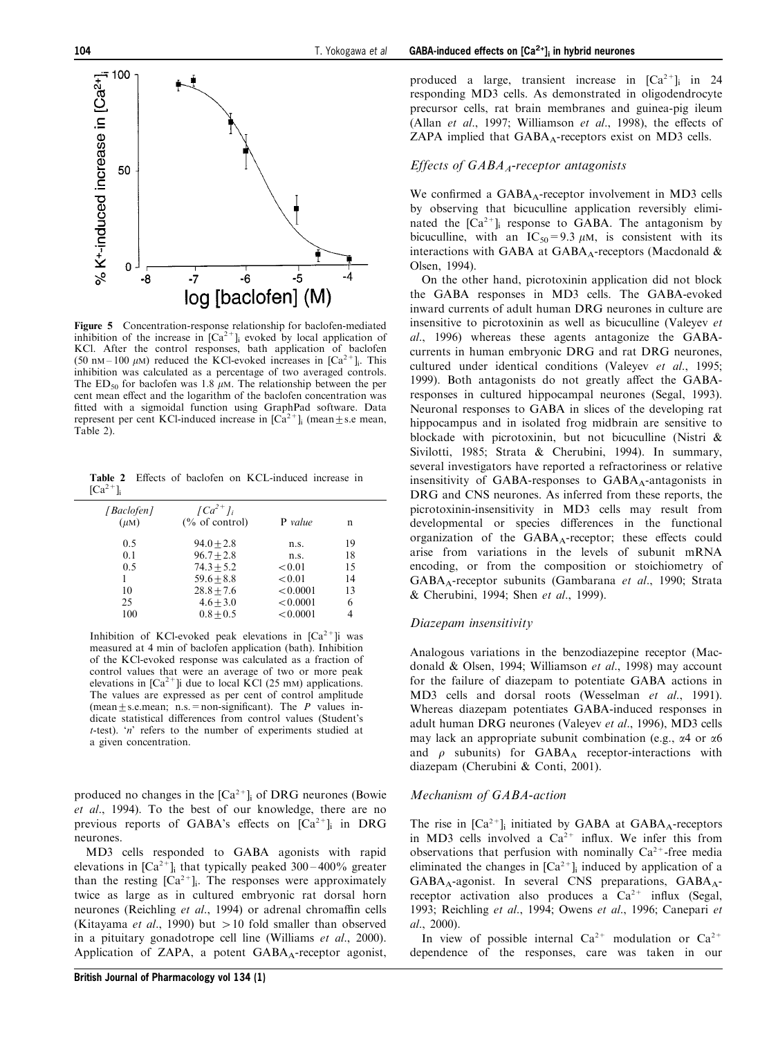<span id="page-6-0"></span>

Figure 5 Concentration-response relationship for baclofen-mediated inhibition of the increase in  $[Ca<sup>2+</sup>]$  evoked by local application of KCl. After the control responses, bath application of baclofen (50 nm – 100  $\mu$ m) reduced the KCl-evoked increases in [Ca<sup>2+</sup>]<sub>i</sub>. This inhibition was calculated as a percentage of two averaged controls. The ED<sub>50</sub> for baclofen was 1.8  $\mu$ M. The relationship between the per cent mean effect and the logarithm of the baclofen concentration was fitted with a sigmoidal function using GraphPad software. Data represent per cent KCl-induced increase in  $[\text{Ca}^{2+}]_i$  (mean  $\pm$  s.e mean, Table 2).

Table 2 Effects of baclofen on KCL-induced increase in  $[Ca^{2+}]$ 

| [Baclofen]<br>$(\mu M)$ | $\int Ca^{2+}l_i$<br>$\frac{6}{6}$ of control) | <b>P</b> value | n  |
|-------------------------|------------------------------------------------|----------------|----|
| 0.5                     | $94.0 + 2.8$                                   | n.s.           | 19 |
| 0.1                     | $96.7 + 2.8$                                   | n.s.           | 18 |
| 0.5                     | $74.3 + 5.2$                                   | < 0.01         | 15 |
|                         | $59.6 + 8.8$                                   | < 0.01         | 14 |
| 10                      | $28.8 + 7.6$                                   | < 0.0001       | 13 |
| 25                      | $4.6 + 3.0$                                    | < 0.0001       | 6  |
| 100                     | $0.8 + 0.5$                                    | < 0.0001       |    |

Inhibition of KCl-evoked peak elevations in  $[Ca^{2+}]i$  was measured at 4 min of baclofen application (bath). Inhibition of the KCl-evoked response was calculated as a fraction of control values that were an average of two or more peak elevations in  $[Ca^{2+}]$ i due to local KCl (25 mM) applications. The values are expressed as per cent of control amplitude (mean  $\pm$  s.e.mean; n.s. = non-significant). The P values indicate statistical differences from control values (Student's  $t$ -test). 'n' refers to the number of experiments studied at a given concentration.

produced no changes in the  $[Ca^{2+}]$ <sub>i</sub> of DRG neurones [\(Bowie](#page-8-0) [et al](#page-8-0)[., 1994](#page-8-0)). To the best of our knowledge, there are no previous reports of GABA's effects on  $[Ca^{2+}]_i$  in DRG neurones.

MD3 cells responded to GABA agonists with rapid elevations in  $[Ca^{2+}]$ ; that typically peaked 300–400% greater than the resting  $[Ca^{2+}]_i$ . The responses were approximately twice as large as in cultured embryonic rat dorsal horn neurones [\(Reichling](#page-8-0) [et al](#page-8-0)[., 1994\)](#page-8-0) or adrenal chromaffin cells ([Kitayama](#page-8-0) *[et al](#page-8-0).*, 1990) but  $> 10$  fold smaller than observed in a pituitary gonadotrope cell line ([Williams](#page-9-0) [et al](#page-9-0)[., 2000](#page-9-0)). Application of ZAPA, a potent  $GABA_A$ -receptor agonist,

#### Effects of  $GABA$ <sub>4</sub>-receptor antagonists

We confirmed a  $GABA_A$ -receptor involvement in MD3 cells by observing that bicuculline application reversibly eliminated the  $[Ca^{2+}]$ ; response to GABA. The antagonism by bicuculline, with an  $IC_{50} = 9.3 \mu M$ , is consistent with its interactions with GABA at GABA<sub>A</sub>-receptors (Macdonald  $\&$ [Olsen, 1994](#page-8-0)).

On the other hand, picrotoxinin application did not block the GABA responses in MD3 cells. The GABA-evoked inward currents of adult human DRG neurones in culture are insensitive to picrotoxinin as well as bicuculline ([Valeyev](#page-9-0) [et](#page-9-0) [al](#page-9-0)[., 1996](#page-9-0)) whereas these agents antagonize the GABAcurrents in human embryonic DRG and rat DRG neurones, cultured under identical conditions [\(Valeyev](#page-9-0) [et al](#page-9-0)[., 1995](#page-9-0); [1999\)](#page-9-0). Both antagonists do not greatly affect the GABAresponses in cultured hippocampal neurones ([Segal, 1993](#page-8-0)). Neuronal responses to GABA in slices of the developing rat hippocampus and in isolated frog midbrain are sensitive to blockade with picrotoxinin, but not bicuculline [\(Nistri &](#page-8-0) [Sivilotti, 1985;](#page-8-0) [Strata & Cherubini, 1994](#page-9-0)). In summary, several investigators have reported a refractoriness or relative insensitivity of GABA-responses to  $GABA_A$ -antagonists in DRG and CNS neurones. As inferred from these reports, the picrotoxinin-insensitivity in MD3 cells may result from developmental or species differences in the functional organization of the  $GABA_A$ -receptor; these effects could arise from variations in the levels of subunit mRNA encoding, or from the composition or stoichiometry of GABAA-receptor subunits [\(Gambarana](#page-8-0) [et al](#page-8-0)[., 1990](#page-8-0); [Strata](#page-9-0) [& Cherubini, 1994;](#page-9-0) [Shen](#page-8-0) [et al](#page-8-0)[., 1999\)](#page-8-0).

#### Diazepam insensitivity

Analogous variations in the benzodiazepine receptor ([Mac](#page-8-0)[donald & Olsen, 1994;](#page-8-0) [Williamson](#page-9-0) [et al](#page-9-0)[., 1998\)](#page-9-0) may account for the failure of diazepam to potentiate GABA actions in MD3 cells and dorsal roots ([Wesselman](#page-9-0) [et al](#page-9-0)[., 1991](#page-9-0)). Whereas diazepam potentiates GABA-induced responses in adult human DRG neurones [\(Valeyev](#page-9-0) [et al](#page-9-0)[., 1996](#page-9-0)), MD3 cells may lack an appropriate subunit combination (e.g.,  $\alpha$ 4 or  $\alpha$ 6 and  $\rho$  subunits) for GABA<sub>A</sub> receptor-interactions with diazepam ([Cherubini & Conti, 2001](#page-8-0)).

#### Mechanism of GABA-action

The rise in  $[Ca^{2+}]_i$  initiated by GABA at GABA<sub>A</sub>-receptors in MD3 cells involved a  $Ca^{2+}$  influx. We infer this from observations that perfusion with nominally  $Ca^{2+}$ -free media eliminated the changes in  $[Ca^{2+}]$ <sub>i</sub> induced by application of a  $GABA_A$ -agonist. In several CNS preparations,  $GABA_A$ receptor activation also produces a  $Ca^{2+}$  influx [\(Segal,](#page-8-0) [1993; Reichling](#page-8-0) [et al](#page-8-0)[., 1994; Owens](#page-8-0) [et al](#page-8-0)[., 1996](#page-8-0); [Canepari](#page-8-0) [et](#page-8-0) [al](#page-8-0)[., 2000](#page-8-0)).

In view of possible internal  $Ca^{2+}$  modulation or  $Ca^{2+}$ dependence of the responses, care was taken in our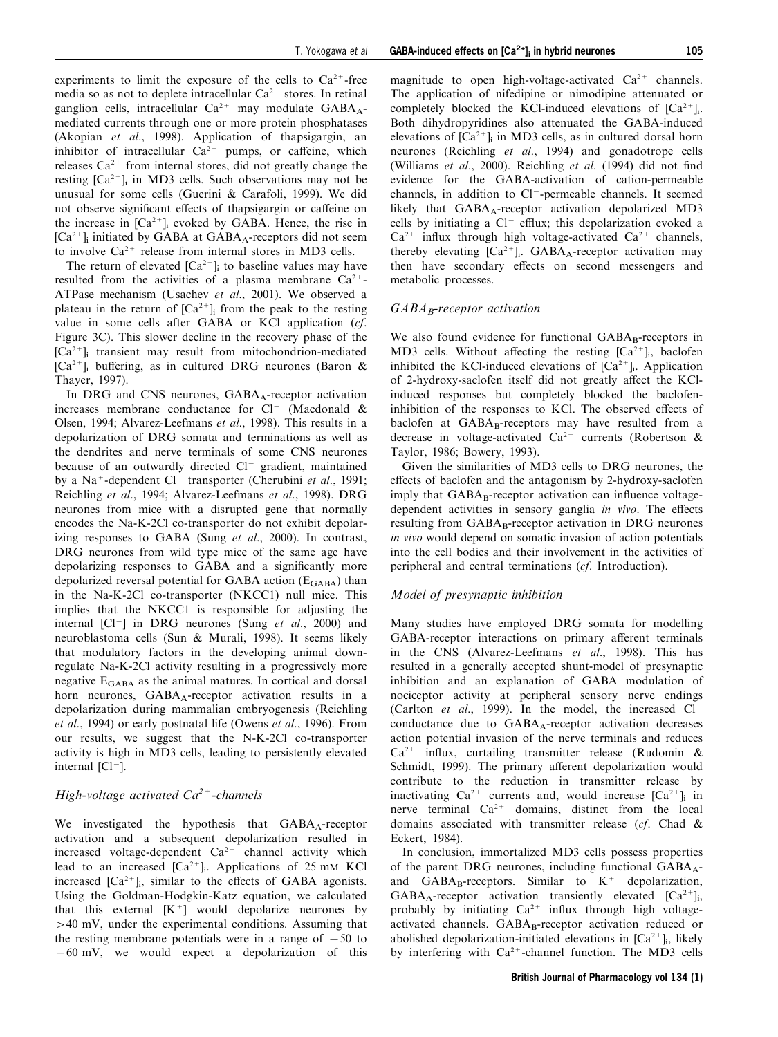experiments to limit the exposure of the cells to  $Ca^{2+}$ -free media so as not to deplete intracellular  $Ca^{2+}$  stores. In retinal ganglion cells, intracellular  $Ca^{2+}$  may modulate  $GABA_A$ mediated currents through one or more protein phosphatases ([Akopian](#page-8-0) [et al](#page-8-0)[., 1998](#page-8-0)). Application of thapsigargin, an inhibitor of intracellular  $Ca^{2+}$  pumps, or caffeine, which releases  $Ca^{2+}$  from internal stores, did not greatly change the resting  $[Ca^{2+}]$ <sub>i</sub> in MD3 cells. Such observations may not be unusual for some cells ([Guerini & Carafoli, 1999\)](#page-8-0). We did not observe significant effects of thapsigargin or caffeine on the increase in  $[Ca^{2+}]$ <sub>i</sub> evoked by GABA. Hence, the rise in  $[Ca^{2+}]$ <sub>i</sub> initiated by GABA at GABA<sub>A</sub>-receptors did not seem

to involve  $Ca^{2+}$  release from internal stores in MD3 cells. The return of elevated  $[Ca^{2+}]$ ; to baseline values may have resulted from the activities of a plasma membrane  $Ca^{2+}$ -ATPase mechanism [\(Usachev](#page-9-0) [et al](#page-9-0)[., 2001](#page-9-0)). We observed a plateau in the return of  $[Ca^{2+}]_i$  from the peak to the resting value in some cells after GABA or KCl application (cf. Figure 3C). This slower decline in the recovery phase of the  $[Ca<sup>2+</sup>]$ <sub>i</sub> transient may result from mitochondrion-mediated  $[Ca^{2+}]$ ; buffering, as in cultured DRG neurones [\(Baron &](#page-8-0) [Thayer, 1997](#page-8-0)).

In DRG and CNS neurones,  $GABA_A$ -receptor activation increases membrane conductance for  $Cl^-$  ([Macdonald &](#page-8-0) [Olsen, 1994](#page-8-0); [Alvarez-Leefmans](#page-8-0) [et al](#page-8-0)[., 1998](#page-8-0)). This results in a depolarization of DRG somata and terminations as well as the dendrites and nerve terminals of some CNS neurones because of an outwardly directed  $Cl^-$  gradient, maintained by a Na<sup>+</sup>-dependent Cl<sup>-</sup> transporter [\(Cherubini](#page-8-0) *[et al](#page-8-0).*, 1991; [Reichling](#page-8-0) [et al](#page-8-0)[., 1994](#page-8-0); [Alvarez-Leefmans](#page-8-0) [et al](#page-8-0)[., 1998](#page-8-0)). DRG neurones from mice with a disrupted gene that normally encodes the Na-K-2Cl co-transporter do not exhibit depolar-izing responses to GABA ([Sung](#page-9-0) [et al](#page-9-0)[., 2000\)](#page-9-0). In contrast, DRG neurones from wild type mice of the same age have depolarizing responses to GABA and a significantly more depolarized reversal potential for GABA action  $(E_{\text{GABA}})$  than in the Na-K-2Cl co-transporter (NKCC1) null mice. This implies that the NKCC1 is responsible for adjusting the internal  $|Cl^-|$  in DRG neurones [\(Sung](#page-9-0) [et al](#page-9-0)[., 2000\)](#page-9-0) and neuroblastoma cells [\(Sun & Murali, 1998\)](#page-9-0). It seems likely that modulatory factors in the developing animal downregulate Na-K-2Cl activity resulting in a progressively more negative  $E_{\text{GABA}}$  as the animal matures. In cortical and dorsal horn neurones, GABA<sub>A</sub>-receptor activation results in a depolarization during mammalian embryogenesis ([Reichling](#page-8-0) [et al](#page-8-0)[., 1994](#page-8-0)) or early postnatal life ([Owens](#page-8-0) [et al](#page-8-0)[., 1996\)](#page-8-0). From our results, we suggest that the N-K-2Cl co-transporter activity is high in MD3 cells, leading to persistently elevated internal  $[Cl<sup>-</sup>]$ .

# High-voltage activated  $Ca^{2+}$ -channels

We investigated the hypothesis that GABA<sub>A</sub>-receptor activation and a subsequent depolarization resulted in increased voltage-dependent  $Ca^{2+}$  channel activity which lead to an increased  $[Ca^{2+}]_i$ . Applications of 25 mM KCl increased  $[Ca^{2+}]$ <sub>i</sub>, similar to the effects of GABA agonists. Using the Goldman-Hodgkin-Katz equation, we calculated that this external  $[K^+]$  would depolarize neurones by  $>40$  mV, under the experimental conditions. Assuming that the resting membrane potentials were in a range of  $-50$  to  $-60$  mV, we would expect a depolarization of this

magnitude to open high-voltage-activated  $Ca^{2+}$  channels. The application of nifedipine or nimodipine attenuated or completely blocked the KCl-induced elevations of  $[Ca^{2+}]_i$ . Both dihydropyridines also attenuated the GABA-induced elevations of  $[Ca^{2+}]$ <sub>i</sub> in MD3 cells, as in cultured dorsal horn neurones ([Reichling](#page-8-0) [et al](#page-8-0)[., 1994\)](#page-8-0) and gonadotrope cells ([Williams](#page-9-0) [et al](#page-8-0)[., 2000](#page-9-0)). [Reichling](#page-8-0) et al[. \(1994\)](#page-8-0) did not find evidence for the GABA-activation of cation-permeable channels, in addition to Cl<sup>-</sup>-permeable channels. It seemed likely that  $GABA_A$ -receptor activation depolarized MD3 cells by initiating a  $Cl^-$  efflux; this depolarization evoked a  $Ca^{2+}$  influx through high voltage-activated  $Ca^{2+}$  channels, thereby elevating  $[Ca^{2+}]$ . GABA<sub>A</sub>-receptor activation may then have secondary effects on second messengers and metabolic processes.

# $GABA_B$ -receptor activation

We also found evidence for functional GABAB-receptors in MD3 cells. Without affecting the resting  $[Ca^{2+}]_i$ , baclofen inhibited the KCl-induced elevations of  $[Ca<sup>2+</sup>]$ <sub>i</sub>. Application of 2-hydroxy-saclofen itself did not greatly affect the KClinduced responses but completely blocked the baclofeninhibition of the responses to KCl. The observed effects of baclofen at  $GABA_B$ -receptors may have resulted from a decrease in voltage-activated  $Ca^{2+}$  currents ([Robertson &](#page-8-0) [Taylor, 1986; Bowery, 1993\)](#page-8-0).

Given the similarities of MD3 cells to DRG neurones, the effects of baclofen and the antagonism by 2-hydroxy-saclofen imply that  $GABA_B$ -receptor activation can influence voltagedependent activities in sensory ganglia in vivo. The effects resulting from  $GABA_B$ -receptor activation in DRG neurones in vivo would depend on somatic invasion of action potentials into the cell bodies and their involvement in the activities of peripheral and central terminations (cf. Introduction).

# Model of presynaptic inhibition

Many studies have employed DRG somata for modelling GABA-receptor interactions on primary afferent terminals in the CNS [\(Alvarez-Leefmans](#page-8-0) [et al](#page-8-0)[., 1998\)](#page-8-0). This has resulted in a generally accepted shunt-model of presynaptic inhibition and an explanation of GABA modulation of nociceptor activity at peripheral sensory nerve endings ([Carlton](#page-8-0) [et al](#page-8-0)[., 1999\)](#page-8-0). In the model, the increased  $Cl^$ conductance due to  $GABA_A$ -receptor activation decreases action potential invasion of the nerve terminals and reduces  $Ca^{2+}$  influx, curtailing transmitter release [\(Rudomin &](#page-8-0) [Schmidt, 1999](#page-8-0)). The primary afferent depolarization would contribute to the reduction in transmitter release by inactivating  $Ca^{2+}$  currents and, would increase  $[Ca^{2+}]_i$  in nerve terminal  $Ca^{2+}$  domains, distinct from the local domains associated with transmitter release (cf. [Chad &](#page-8-0) [Eckert, 1984\)](#page-8-0).

In conclusion, immortalized MD3 cells possess properties of the parent DRG neurones, including functional  $GABA_A$ and GABA<sub>B</sub>-receptors. Similar to  $K^+$  depolarization,  $GABA_A$ -receptor activation transiently elevated  $[Ca^{2+}]_i$ , probably by initiating  $Ca^{2+}$  influx through high voltageactivated channels. GABA<sub>B</sub>-receptor activation reduced or abolished depolarization-initiated elevations in  $[Ca^{2+}]$ ; likely by interfering with  $Ca^{2+}$ -channel function. The MD3 cells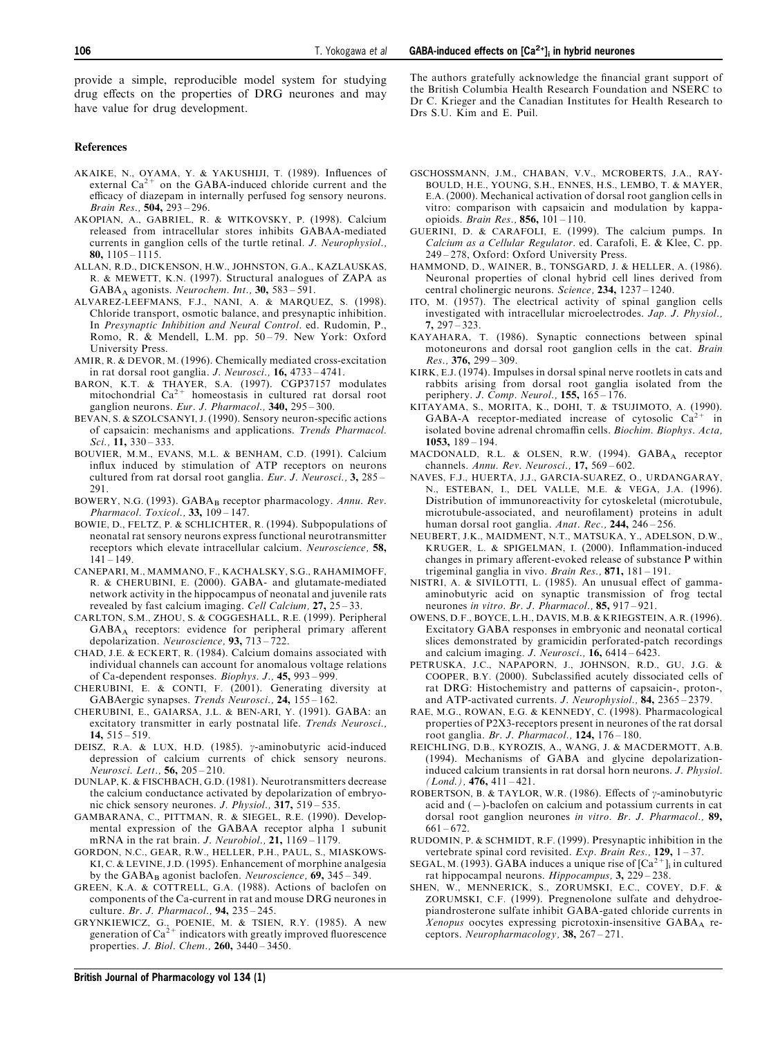<span id="page-8-0"></span>provide a simple, reproducible model system for studying drug effects on the properties of DRG neurones and may have value for drug development.

#### References

- AKAIKE, N., OYAMA, Y. & YAKUSHIJI, T. (1989). Influences of external  $Ca^{2+}$  on the GABA-induced chloride current and the efficacy of diazepam in internally perfused fog sensory neurons. Brain Res.,  $504, 293 - 296$ .
- AKOPIAN, A., GABRIEL, R. & WITKOVSKY, P. (1998). Calcium released from intracellular stores inhibits GABAA-mediated currents in ganglion cells of the turtle retinal. J. Neurophysiol., 80,  $1105 - 1115$ .
- ALLAN, R.D., DICKENSON, H.W., JOHNSTON, G.A., KAZLAUSKAS, R. & MEWETT, K.N. (1997). Structural analogues of ZAPA as  $GABA_A$  agonists. Neurochem. Int., 30, 583 = 591.
- ALVAREZ-LEEFMANS, F.J., NANI, A. & MARQUEZ, S. (1998). Chloride transport, osmotic balance, and presynaptic inhibition. In Presynaptic Inhibition and Neural Control. ed. Rudomin, P., Romo, R. & Mendell, L.M. pp. 50-79. New York: Oxford University Press.
- AMIR, R. & DEVOR, M. (1996). Chemically mediated cross-excitation in rat dorsal root ganglia. J. Neurosci.,  $16$ ,  $4733 - 4741$ .
- BARON, K.T. & THAYER, S.A. (1997). CGP37157 modulates mitochondrial Ca2+ homeostasis in cultured rat dorsal root ganglion neurons. Eur. J. Pharmacol.,  $340$ ,  $295 - 300$ .
- BEVAN, S. & SZOLCSANYI, J. (1990). Sensory neuron-specific actions of capsaicin: mechanisms and applications. Trends Pharmacol. Sci.,  $11, 330 - 333$ .
- BOUVIER, M.M., EVANS, M.L. & BENHAM, C.D. (1991). Calcium influx induced by stimulation of ATP receptors on neurons cultured from rat dorsal root ganglia. Eur. J. Neurosci.,  $3$ , 285 – 291.
- BOWERY, N.G. (1993). GABAB receptor pharmacology. Annu. Rev. Pharmacol. Toxicol.,  $33, 109 - 147$ .
- BOWIE, D., FELTZ, P. & SCHLICHTER, R. (1994). Subpopulations of neonatal rat sensory neurons express functional neurotransmitter receptors which elevate intracellular calcium. Neuroscience, 58,  $141 - 149.$
- CANEPARI, M., MAMMANO, F., KACHALSKY, S.G., RAHAMIMOFF, R. & CHERUBINI, E. (2000). GABA- and glutamate-mediated network activity in the hippocampus of neonatal and juvenile rats revealed by fast calcium imaging. Cell Calcium,  $27$ ,  $25-33$ .
- CARLTON, S.M., ZHOU, S. & COGGESHALL, R.E. (1999). Peripheral  $GABA_A$  receptors: evidence for peripheral primary afferent depolarization. Neuroscience, 93, 713-722.
- CHAD, J.E. & ECKERT, R. (1984). Calcium domains associated with individual channels can account for anomalous voltage relations of Ca-dependent responses. Biophys. J.,  $45, 993 - 999$ .
- CHERUBINI, E. & CONTI, F. (2001). Generating diversity at GABAergic synapses. Trends Neurosci., 24, 155-162.
- CHERUBINI, E., GAIARSA, J.L. & BEN-ARI, Y. (1991). GABA: an excitatory transmitter in early postnatal life. Trends Neurosci., 14,  $515 - 519$ .
- DEISZ, R.A. & LUX, H.D. (1985). γ-aminobutyric acid-induced depression of calcium currents of chick sensory neurons.  $Neurosci. Let t., 56, 205 - 210.$
- DUNLAP, K. & FISCHBACH, G.D. (1981). Neurotransmitters decrease the calcium conductance activated by depolarization of embryonic chick sensory neurones. *J. Physiol.*,  $317$ ,  $519 - 535$ .
- GAMBARANA, C., PITTMAN, R. & SIEGEL, R.E. (1990). Developmental expression of the GABAA receptor alpha 1 subunit mRNA in the rat brain. *J. Neurobiol.*,  $21, 1169 - 1179$ .
- GORDON, N.C., GEAR, R.W., HELLER, P.H., PAUL, S., MIASKOWS-KI, C. & LEVINE, J.D. (1995). Enhancement of morphine analgesia by the  $GABA_B$  agonist baclofen. Neuroscience, 69, 345 – 349.
- GREEN, K.A. & COTTRELL, G.A. (1988). Actions of baclofen on components of the Ca-current in rat and mouse DRG neurones in culture. Br. J. Pharmacol.,  $94$ ,  $235 - 245$ .
- GRYNKIEWICZ, G., POENIE, M. & TSIEN, R.Y. (1985). A new generation of  $Ca^{2+}$  indicators with greatly improved fluorescence properties. *J. Biol. Chem.*,  $260$ ,  $3440 - 3450$ .

The authors gratefully acknowledge the financial grant support of the British Columbia Health Research Foundation and NSERC to Dr C. Krieger and the Canadian Institutes for Health Research to Drs S.U. Kim and E. Puil.

- GSCHOSSMANN, J.M., CHABAN, V.V., MCROBERTS, J.A., RAY-BOULD, H.E., YOUNG, S.H., ENNES, H.S., LEMBO, T. & MAYER, E.A. (2000). Mechanical activation of dorsal root ganglion cells in vitro: comparison with capsaicin and modulation by kappaopioids. Brain Res.,  $856$ ,  $101 - 110$ .
- GUERINI, D. & CARAFOLI, E. (1999). The calcium pumps. In Calcium as a Cellular Regulator. ed. Carafoli, E. & Klee, C. pp. 249-278, Oxford: Oxford University Press.
- HAMMOND, D., WAINER, B., TONSGARD, J. & HELLER, A. (1986). Neuronal properties of clonal hybrid cell lines derived from central cholinergic neurons. Science,  $234$ ,  $1237 - 1240$ .
- ITO, M. (1957). The electrical activity of spinal ganglion cells investigated with intracellular microelectrodes. Jap. J. Physiol.,  $7.297 - 323.$
- KAYAHARA, T. (1986). Synaptic connections between spinal motoneurons and dorsal root ganglion cells in the cat. Brain  $Res.$ , 376, 299 – 309.
- KIRK, E.J. (1974). Impulses in dorsal spinal nerve rootlets in cats and rabbits arising from dorsal root ganglia isolated from the periphery. J. Comp. Neurol.,  $155$ ,  $165 - 176$ .
- KITAYAMA, S., MORITA, K., DOHI, T. & TSUJIMOTO, A. (1990). GABA-A receptor-mediated increase of cytosolic  $Ca^{2+}$  in isolated bovine adrenal chromaffin cells. Biochim. Biophys. Acta,  $1053$ ,  $189 - 194$ .
- MACDONALD, R.L. & OLSEN, R.W. (1994). GABA<sub>A</sub> receptor channels. Annu. Rev. Neurosci.,  $17, 569 - 602$ .
- NAVES, F.J., HUERTA, J.J., GARCIA-SUAREZ, O., URDANGARAY, N., ESTEBAN, I., DEL VALLE, M.E. & VEGA, J.A. (1996). Distribution of immunoreactivity for cytoskeletal (microtubule, microtubule-associated, and neurofilament) proteins in adult human dorsal root ganglia. Anat. Rec., 244, 246-256.
- NEUBERT, J.K., MAIDMENT, N.T., MATSUKA, Y., ADELSON, D.W., KRUGER, L. & SPIGELMAN, I. (2000). Inflammation-induced changes in primary afferent-evoked release of substance P within trigeminal ganglia in vivo. *Brain Res.*,  $871, 181 - 191$ .
- NISTRI, A. & SIVILOTTI, L. (1985). An unusual effect of gammaaminobutyric acid on synaptic transmission of frog tectal neurones in vitro. Br. J. Pharmacol.,  $85$ ,  $917 - 921$ .
- OWENS, D.F., BOYCE, L.H., DAVIS, M.B. & KRIEGSTEIN, A.R. (1996). Excitatory GABA responses in embryonic and neonatal cortical slices demonstrated by gramicidin perforated-patch recordings and calcium imaging. J. Neurosci.,  $\hat{16}$ , 6414 – 6423.
- PETRUSKA, J.C., NAPAPORN, J., JOHNSON, R.D., GU, J.G. & COOPER, B.Y. (2000). Subclassified acutely dissociated cells of rat DRG: Histochemistry and patterns of capsaicin-, proton-, and ATP-activated currents. J. Neurophysiol.,  $84$ , 2365 - 2379.
- RAE, M.G., ROWAN, E.G. & KENNEDY, C. (1998). Pharmacological properties of P2X3-receptors present in neurones of the rat dorsal root ganglia. Br. J. Pharmacol.,  $124$ ,  $176 - 180$ .
- REICHLING, D.B., KYROZIS, A., WANG, J. & MACDERMOTT, A.B. (1994). Mechanisms of GABA and glycine depolarizationinduced calcium transients in rat dorsal horn neurons. J. Physiol.  $(Lond.)$ , 476, 411 – 421.
- ROBERTSON, B. & TAYLOR, W.R. (1986). Effects of  $\gamma$ -aminobutyric acid and  $(-)$ -baclofen on calcium and potassium currents in cat dorsal root ganglion neurones in vitro. Br. J. Pharmacol., 89,  $661 - 672.$
- RUDOMIN, P. & SCHMIDT, R.F. (1999). Presynaptic inhibition in the vertebrate spinal cord revisited. Exp. Brain Res.,  $129$ ,  $1 - 37$ .
- SEGAL, M. (1993). GABA induces a unique rise of  $[Ca<sup>2+</sup>]$  in cultured rat hippocampal neurons.  $Hippocampus$ , 3, 229 - 238.
- SHEN, W., MENNERICK, S., ZORUMSKI, E.C., COVEY, D.F. & ZORUMSKI, C.F. (1999). Pregnenolone sulfate and dehydroepiandrosterone sulfate inhibit GABA-gated chloride currents in  $Xenopus$  oocytes expressing picrotoxin-insensitive  $GABA_A$  receptors. Neuropharmacology, 38,  $267 - 271$ .